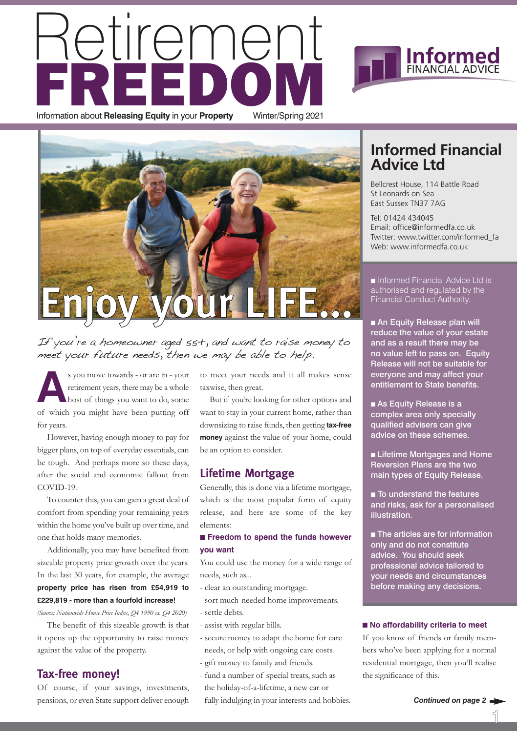## etiremei **FREDOM** Information about **Releasing Equity** in your **Property** Winter/Spring 2021





If you're a homeowner aged 55+, and want to raise money to meet your future needs, then we may be able to help.

**A**s you move towards - or are in - your retirement years, there may be a whole host of things you want to do, some of which you might have been putting off for years.

However, having enough money to pay for bigger plans, on top of everyday essentials, can be tough. And perhaps more so these days, after the social and economic fallout from COVID-19.

To counter this, you can gain a great deal of comfort from spending your remaining years within the home you've built up over time, and one that holds many memories.

Additionally, you may have benefited from sizeable property price growth over the years. In the last 30 years, for example, the average **property price has risen from £54,919 to £229,819 - more than a fourfold increase!**

*(Source: Nationwide House Price Index, Q4 1990 vs. Q4 2020)*

The benefit of this sizeable growth is that it opens up the opportunity to raise money against the value of the property.

#### **Tax-free money!**

Of course, if your savings, investments, pensions, or even State support deliver enough to meet your needs and it all makes sense taxwise, then great.

But if you're looking for other options and want to stay in your current home, rather than downsizing to raise funds, then getting **tax-free money** against the value of your home, could be an option to consider.

#### **Lifetime Mortgage**

Generally, this is done via a lifetime mortgage, which is the most popular form of equity release, and here are some of the key elements:

#### ■ **Freedom to spend the funds however you want**

You could use the money for a wide range of needs, such as...

- clear an outstanding mortgage.
- sort much-needed home improvements.
- settle debts.
- assist with regular bills.
- secure money to adapt the home for care needs, or help with ongoing care costs.
- gift money to family and friends.
- fund a number of special treats, such as the holiday-of-a-lifetime, a new car or fully indulging in your interests and hobbies.

#### **Informed Financial Advice Ltd**

**Informed** 

Bellcrest House, 114 Battle Road St Leonards on Sea East Sussex TN37 7AG

Tel: 01424 434045 Email: office@informedfa.co.uk Twitter: www.twitter.com/informed\_fa Web: www.informedfa.co.uk

■ Informed Financial Advice Ltd is authorised and regulated by the Financial Conduct Authority.

■ An Equity Release plan will reduce the value of your estate and as a result there may be no value left to pass on. Equity Release will not be suitable for everyone and may affect your entitlement to State benefits.

■ As Equity Release is a complex area only specially qualified advisers can give advice on these schemes.

■ Lifetime Mortgages and Home Reversion Plans are the two main types of Equity Release.

■ To understand the features and risks, ask for a personalised illustration.

■ The articles are for information only and do not constitute advice. You should seek professional advice tailored to your needs and circumstances before making any decisions.

#### ■ **No affordability criteria to meet**

If you know of friends or family members who've been applying for a normal residential mortgage, then you'll realise the significance of this.

1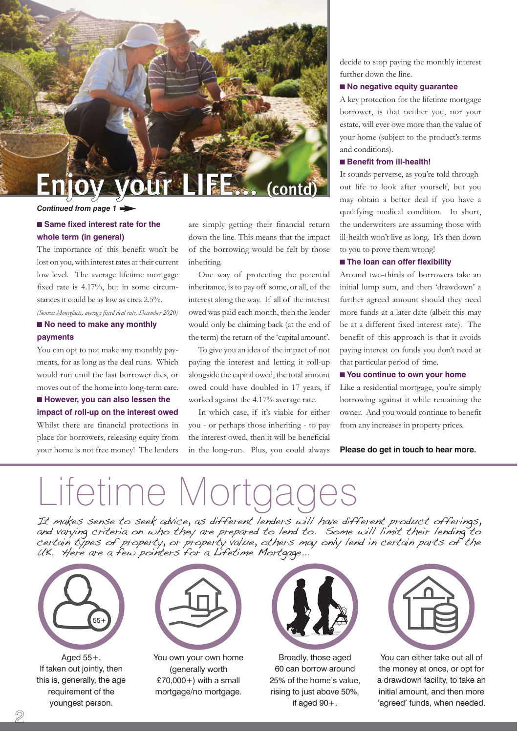

#### *Continued from page 1*

#### ■ Same fixed interest rate for the **whole term (in general)**

The importance of this benefit won't be lost on you, with interest rates at their current low level. The average lifetime mortgage fixed rate is 4.17%, but in some circumstances it could be as low as circa 2.5%.

*(Source: Moneyfacts, average fixed deal rate, December 2020)*

#### ■ **No need to make any monthly payments**

You can opt to not make any monthly payments, for as long as the deal runs. Which would run until the last borrower dies, or moves out of the home into long-term care.

#### ■ **However, you can also lessen the impact of roll-up on the interest owed** Whilst there are financial protections in place for borrowers, releasing equity from your home is not free money! The lenders

are simply getting their financial return down the line. This means that the impact of the borrowing would be felt by those inheriting.

One way of protecting the potential inheritance, is to pay off some, or all, of the interest along the way. If all of the interest owed was paid each month, then the lender would only be claiming back (at the end of the term) the return of the 'capital amount'.

To give you an idea of the impact of not paying the interest and letting it roll-up alongside the capital owed, the total amount owed could have doubled in 17 years, if worked against the 4.17% average rate.

In which case, if it's viable for either you - or perhaps those inheriting - to pay the interest owed, then it will be beneficial in the long-run. Plus, you could always decide to stop paying the monthly interest further down the line.

#### ■ **No negative equity guarantee**

A key protection for the lifetime mortgage borrower, is that neither you, nor your estate, will ever owe more than the value of your home (subject to the product's terms and conditions).

#### ■ **Benefit from ill-health!**

It sounds perverse, as you're told throughout life to look after yourself, but you may obtain a better deal if you have a qualifying medical condition. In short, the underwriters are assuming those with ill-health won't live as long. It's then down to you to prove them wrong!

#### ■ **The loan can offer flexibility**

Around two-thirds of borrowers take an initial lump sum, and then 'drawdown' a further agreed amount should they need more funds at a later date (albeit this may be at a different fixed interest rate). The benefit of this approach is that it avoids paying interest on funds you don't need at that particular period of time.

#### ■ **You continue to own your home**

Like a residential mortgage, you're simply borrowing against it while remaining the owner. And you would continue to benefit from any increases in property prices.

**Please do get in touch to hear more.**

# Lifetime Mortg

It makes sense to seek advice, as different lenders will have different product offerings, and varying criteria on who they are prepared to lend to. Some will limit their lending to certain types of property, or property value, others may only lend in certain parts of the UK. Here are a few pointers for a Lifetime Mortgage...



Aged 55+. If taken out jointly, then this is, generally, the age requirement of the youngest person.



You own your own home (generally worth  $£70,000+)$  with a small mortgage/no mortgage.



Broadly, those aged 60 can borrow around 25% of the home's value, rising to just above 50%, if aged 90+.



You can either take out all of the money at once, or opt for a drawdown facility, to take an initial amount, and then more 'agreed' funds, when needed.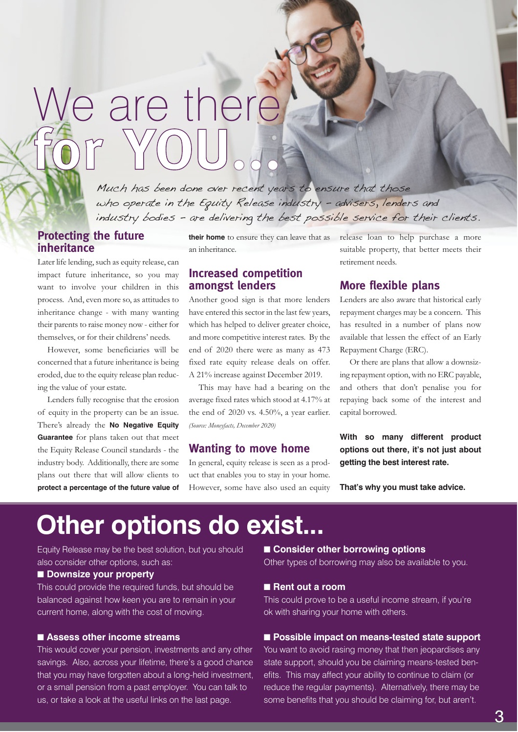# We are there **for YOU...**

Much has been done over recent years to ensure that those who operate in the Equity Release industry - advisers, lenders and industry bodies - are delivering the best possible service for their clients.

#### **Protecting the future inheritance**

Later life lending, such as equity release, can impact future inheritance, so you may want to involve your children in this process. And, even more so, as attitudes to inheritance change - with many wanting their parents to raise money now - either for themselves, or for their childrens' needs.

However, some beneficiaries will be concerned that a future inheritance is being eroded, due to the equity release plan reducing the value of your estate.

Lenders fully recognise that the erosion of equity in the property can be an issue. There's already the **No Negative Equity Guarantee** for plans taken out that meet the Equity Release Council standards - the industry body. Additionally, there are some plans out there that will allow clients to **protect a percentage of the future value of** an inheritance.

#### **Increased competition amongst lenders**

Another good sign is that more lenders have entered this sector in the last few years, which has helped to deliver greater choice, and more competitive interest rates. By the end of 2020 there were as many as 473 fixed rate equity release deals on offer. A 21% increase against December 2019.

This may have had a bearing on the average fixed rates which stood at 4.17% at the end of 2020 vs. 4.50%, a year earlier. *(Source: Moneyfacts, December 2020)*

#### **Wanting to move home**

In general, equity release is seen as a product that enables you to stay in your home. However, some have also used an equity

**their home** to ensure they can leave that as release loan to help purchase a more suitable property, that better meets their retirement needs.

#### **More flexible plans**

Lenders are also aware that historical early repayment charges may be a concern. This has resulted in a number of plans now available that lessen the effect of an Early Repayment Charge (ERC).

Or there are plans that allow a downsizing repayment option, with no ERC payable, and others that don't penalise you for repaying back some of the interest and capital borrowed.

**With so many different product options out there, it's not just about getting the best interest rate.** 

**That's why you must take advice.**

## **Other options do exist...**

Equity Release may be the best solution, but you should also consider other options, such as:

#### ■ **Downsize your property**

This could provide the required funds, but should be balanced against how keen you are to remain in your current home, along with the cost of moving.

#### ■ Assess other income streams

This would cover your pension, investments and any other savings. Also, across your lifetime, there's a good chance that you may have forgotten about a long-held investment, or a small pension from a past employer. You can talk to us, or take a look at the useful links on the last page.

#### ■ **Consider other borrowing options**

Other types of borrowing may also be available to you.

#### ■ Rent out a room

This could prove to be a useful income stream, if you're ok with sharing your home with others.

#### ■ **Possible impact on means-tested state support**

You want to avoid rasing money that then jeopardises any state support, should you be claiming means-tested benefits. This may affect your ability to continue to claim (or reduce the regular payments). Alternatively, there may be some benefits that you should be claiming for, but aren't.